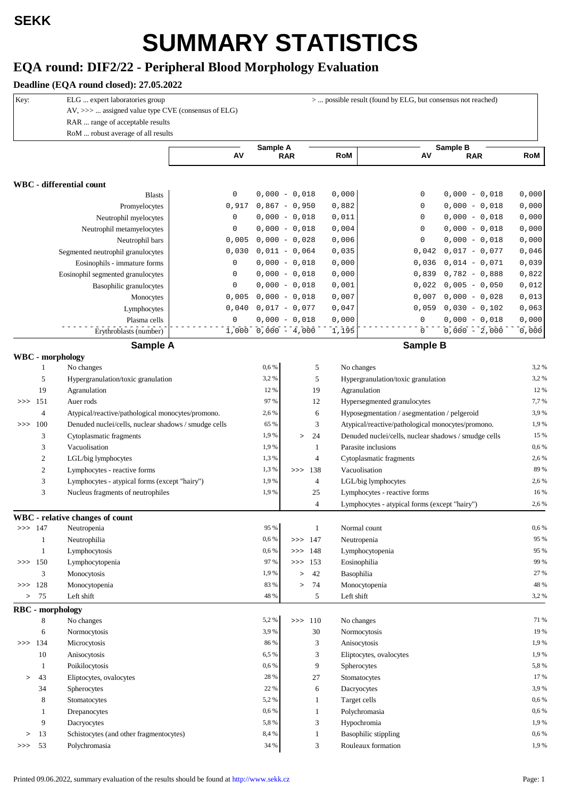## **SUMMARY STATISTICS**

## **EQA round: DIF2/22 - Peripheral Blood Morphology Evaluation**

## **Deadline (EQA round closed): 27.05.2022**

| Key:      |                  | ELG  expert laboratories group<br>AV, >>>  assigned value type CVE (consensus of ELG)<br>RAR  range of acceptable results<br>RoM  robust average of all results |             | >  possible result (found by ELG, but consensus not reached) |                  |            |                                                      |            |  |  |  |
|-----------|------------------|-----------------------------------------------------------------------------------------------------------------------------------------------------------------|-------------|--------------------------------------------------------------|------------------|------------|------------------------------------------------------|------------|--|--|--|
|           |                  |                                                                                                                                                                 | AV          | Sample A                                                     | <b>RAR</b>       | <b>RoM</b> | Sample B<br>AV<br><b>RAR</b>                         | <b>RoM</b> |  |  |  |
|           |                  | <b>WBC</b> - differential count                                                                                                                                 |             |                                                              |                  |            |                                                      |            |  |  |  |
|           |                  | <b>Blasts</b>                                                                                                                                                   | 0           |                                                              | $0,000 - 0,018$  | 0,000      | 0<br>$0,000 - 0,018$                                 | 0,000      |  |  |  |
|           |                  | Promyelocytes                                                                                                                                                   | 0,917       |                                                              | $0,867 - 0,950$  | 0,882      | $\mathbf 0$<br>$0,000 - 0,018$                       | 0,000      |  |  |  |
|           |                  | Neutrophil myelocytes                                                                                                                                           | $\mathsf 0$ |                                                              | $0,000 - 0,018$  | 0,011      | $\mathbf 0$<br>$0,000 - 0,018$                       | 0,000      |  |  |  |
|           |                  | Neutrophil metamyelocytes                                                                                                                                       | $\mathsf 0$ |                                                              | $0,000 - 0,018$  | 0,004      | $\mathbf 0$<br>$0,000 - 0,018$                       | 0,000      |  |  |  |
|           |                  | Neutrophil bars                                                                                                                                                 | 0,005       |                                                              | $0,000 - 0,028$  | 0,006      | $\mathbf 0$<br>$0,000 - 0,018$                       | 0,000      |  |  |  |
|           |                  | Segmented neutrophil granulocytes                                                                                                                               | 0,030       |                                                              | $0,011 - 0,064$  | 0,035      | 0,042<br>$0,017 - 0,077$                             | 0,046      |  |  |  |
|           |                  | Eosinophils - immature forms                                                                                                                                    | 0           |                                                              | $0,000 - 0,018$  | 0,000      | $0,014 - 0,071$<br>0,036                             | 0,039      |  |  |  |
|           |                  | Eosinophil segmented granulocytes                                                                                                                               | 0           |                                                              | $0,000 - 0,018$  | 0,000      | $0,782 - 0,888$<br>0,839                             | 0,822      |  |  |  |
|           |                  | Basophilic granulocytes                                                                                                                                         | 0           |                                                              | $0,000 - 0,018$  | 0,001      | 0,022<br>$0,005 - 0,050$                             | 0,012      |  |  |  |
|           |                  | Monocytes                                                                                                                                                       | 0,005       |                                                              | $0,000 - 0,018$  | 0,007      | 0,007<br>$0,000 - 0,028$                             | 0,013      |  |  |  |
|           |                  | Lymphocytes                                                                                                                                                     | 0,040       |                                                              | $0,017 - 0,077$  | 0,047      | 0,059<br>$0,030 - 0,102$                             | 0,063      |  |  |  |
|           |                  | Plasma cells                                                                                                                                                    | 0           |                                                              | $0,000 - 0,018$  | 0,000      | $\mathbf 0$<br>$0,000 - 0,018$                       | 0,000      |  |  |  |
|           |                  | Erythroblasts (number)                                                                                                                                          | 1,000       |                                                              | $0,000 - 4,000$  | 1,195      | $\mathbf 0$<br>$0,000 - 2,000$                       | 0,000      |  |  |  |
|           |                  | Sample A                                                                                                                                                        |             |                                                              |                  |            | Sample B                                             |            |  |  |  |
|           |                  | WBC - morphology                                                                                                                                                |             |                                                              |                  |            |                                                      |            |  |  |  |
|           | 1                | No changes                                                                                                                                                      |             | 0,6%                                                         | 5                |            | No changes                                           | 3,2%       |  |  |  |
|           | 5                | Hypergranulation/toxic granulation                                                                                                                              |             | 3,2%                                                         | 5                |            | Hypergranulation/toxic granulation                   | 3,2%       |  |  |  |
|           | 19               | Agranulation                                                                                                                                                    |             | 12 %                                                         | 19               |            | Agranulation                                         | 12%        |  |  |  |
| >>        | 151              | Auer rods                                                                                                                                                       |             | 97 %                                                         | 12               |            | Hypersegmented granulocytes                          | 7,7%       |  |  |  |
|           | $\overline{4}$   | Atypical/reactive/pathological monocytes/promono.                                                                                                               |             | 2,6 %                                                        | 6                |            | Hyposegmentation / asegmentation / pelgeroid         | 3.9%       |  |  |  |
| >>        | 100              | Denuded nuclei/cells, nuclear shadows / smudge cells                                                                                                            |             | 65 %                                                         | 3                |            | Atypical/reactive/pathological monocytes/promono.    | 1,9%       |  |  |  |
|           | 3                | Cytoplasmatic fragments                                                                                                                                         |             | 1,9%                                                         | 24<br>$\, > \,$  |            | Denuded nuclei/cells, nuclear shadows / smudge cells | 15 %       |  |  |  |
|           | 3                | Vacuolisation                                                                                                                                                   |             | 1,9%                                                         | 1                |            | Parasite inclusions                                  | 0,6%       |  |  |  |
|           | $\boldsymbol{2}$ | LGL/big lymphocytes                                                                                                                                             |             | 1,3%                                                         | $\overline{4}$   |            | Cytoplasmatic fragments                              | 2,6%       |  |  |  |
|           | $\boldsymbol{2}$ | Lymphocytes - reactive forms                                                                                                                                    |             | 1,3%                                                         | 138<br>>>        |            | Vacuolisation                                        | 89 %       |  |  |  |
|           | 3                | Lymphocytes - atypical forms (except "hairy")                                                                                                                   |             | 1,9%                                                         | $\overline{4}$   |            | LGL/big lymphocytes                                  | 2,6%       |  |  |  |
|           | 3                | Nucleus fragments of neutrophiles                                                                                                                               |             | 1,9%                                                         | 25               |            | Lymphocytes - reactive forms                         | 16%        |  |  |  |
|           |                  |                                                                                                                                                                 |             |                                                              | $\overline{4}$   |            | Lymphocytes - atypical forms (except "hairy")        | 2,6%       |  |  |  |
|           |                  | WBC - relative changes of count                                                                                                                                 |             | 95 %                                                         |                  |            |                                                      | 0,6%       |  |  |  |
| >> 147    |                  | Neutropenia                                                                                                                                                     |             | 0,6%                                                         | 1<br>>> 147      |            | Normal count                                         | 95 %       |  |  |  |
|           | 1                | Neutrophilia                                                                                                                                                    |             | 0,6%                                                         |                  |            | Neutropenia                                          | 95 %       |  |  |  |
| >> 150    | $\mathbf{1}$     | Lymphocytosis                                                                                                                                                   |             | 97 %                                                         | >> 148<br>>> 153 |            | Lymphocytopenia                                      | 99 %       |  |  |  |
|           |                  | Lymphocytopenia                                                                                                                                                 |             | 1,9%                                                         | 42               |            | Eosinophilia                                         | 27 %       |  |  |  |
| >> 128    | 3                | Monocytosis                                                                                                                                                     |             | 83 %                                                         | $\, > \,$<br>74  |            | Basophilia                                           | 48 %       |  |  |  |
| $\, >$    | 75               | Monocytopenia<br>Left shift                                                                                                                                     |             | 48 %                                                         | $\, > \,$<br>5   | Left shift | Monocytopenia                                        | 3,2%       |  |  |  |
|           |                  | <b>RBC</b> - morphology                                                                                                                                         |             |                                                              |                  |            |                                                      |            |  |  |  |
|           | 8                | No changes                                                                                                                                                      |             | 5,2%                                                         | $\gg$ 110        |            | No changes                                           | 71 %       |  |  |  |
|           | 6                | Normocytosis                                                                                                                                                    |             | 3,9%                                                         | 30               |            | Normocytosis                                         | 19 %       |  |  |  |
| $\gg$ 134 |                  | Microcytosis                                                                                                                                                    |             | 86 %                                                         | 3                |            | Anisocytosis                                         | 1,9%       |  |  |  |
|           | 10               | Anisocytosis                                                                                                                                                    |             | 6,5%                                                         | 3                |            | Eliptocytes, ovalocytes                              | 1,9%       |  |  |  |
|           | $\mathbf{1}$     | Poikilocytosis                                                                                                                                                  |             | 0,6%                                                         | 9                |            | Spherocytes                                          | 5,8%       |  |  |  |
| $\, > \,$ | 43               | Eliptocytes, ovalocytes                                                                                                                                         |             | 28 %                                                         | 27               |            | Stomatocytes                                         | 17%        |  |  |  |
|           | 34               | Spherocytes                                                                                                                                                     |             | 22 %                                                         | 6                |            | Dacryocytes                                          | 3,9%       |  |  |  |
|           | 8                | Stomatocytes                                                                                                                                                    |             | 5,2%                                                         | 1                |            | Target cells                                         | 0,6%       |  |  |  |
|           | 1                | Drepanocytes                                                                                                                                                    |             | 0,6%                                                         | 1                |            | Polychromasia                                        | 0,6%       |  |  |  |
|           | 9                | Dacryocytes                                                                                                                                                     |             | 5,8%                                                         | 3                |            | Hypochromia                                          | 1,9%       |  |  |  |
| $\, > \,$ | 13               | Schistocytes (and other fragmentocytes)                                                                                                                         |             | 8,4%                                                         | $\mathbf{1}$     |            | <b>Basophilic stippling</b>                          | 0,6%       |  |  |  |
| >>        | - 53             | Polychromasia                                                                                                                                                   |             | 34 %                                                         | 3                |            | Rouleaux formation                                   | 1,9%       |  |  |  |